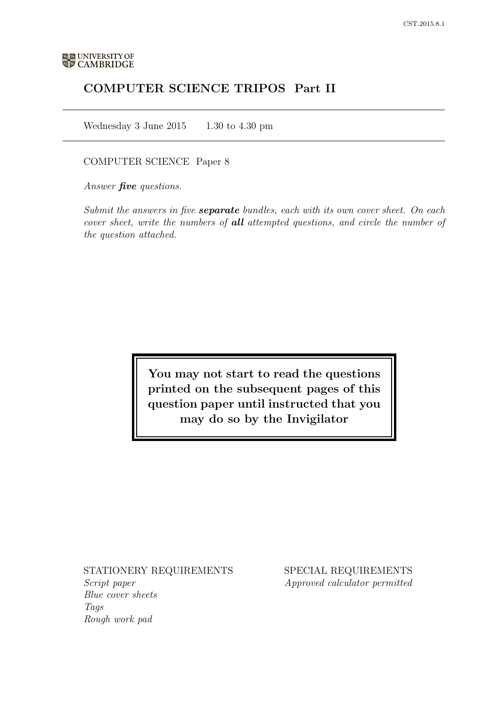# COMPUTER SCIENCE TRIPOS Part II

Wednesday 3 June 2015  $1.30$  to 4.30 pm

## COMPUTER SCIENCE Paper 8

Answer **five** questions.

Submit the answers in five **separate** bundles, each with its own cover sheet. On each cover sheet, write the numbers of **all** attempted questions, and circle the number of the question attached.

> You may not start to read the questions printed on the subsequent pages of this question paper until instructed that you may do so by the Invigilator

## STATIONERY REQUIREMENTS

Script paper Blue cover sheets Tags Rough work pad

SPECIAL REQUIREMENTS Approved calculator permitted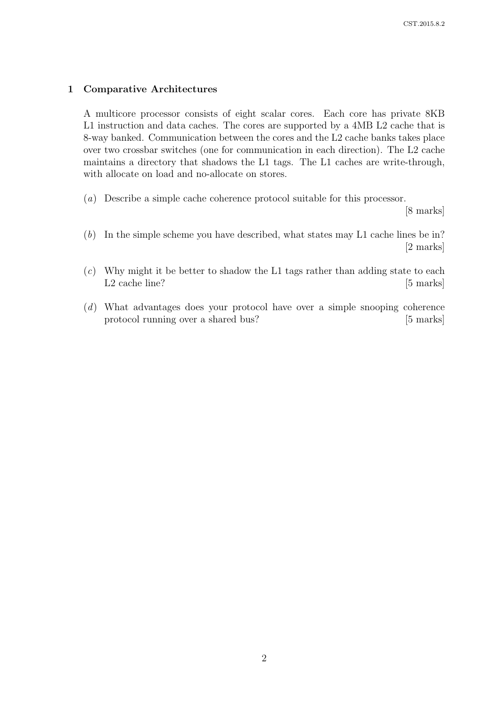## 1 Comparative Architectures

A multicore processor consists of eight scalar cores. Each core has private 8KB L1 instruction and data caches. The cores are supported by a 4MB L2 cache that is 8-way banked. Communication between the cores and the L2 cache banks takes place over two crossbar switches (one for communication in each direction). The L2 cache maintains a directory that shadows the L1 tags. The L1 caches are write-through, with allocate on load and no-allocate on stores.

(a) Describe a simple cache coherence protocol suitable for this processor.

[8 marks]

- (b) In the simple scheme you have described, what states may L1 cache lines be in? [2 marks]
- $(c)$  Why might it be better to shadow the L1 tags rather than adding state to each L2 cache line? [5 marks]
- (d) What advantages does your protocol have over a simple snooping coherence protocol running over a shared bus? [5 marks]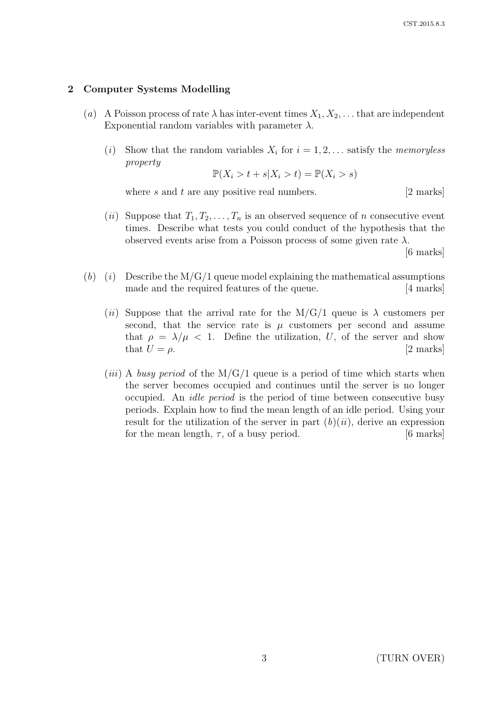### 2 Computer Systems Modelling

- (a) A Poisson process of rate  $\lambda$  has inter-event times  $X_1, X_2, \ldots$  that are independent Exponential random variables with parameter  $\lambda$ .
	- (*i*) Show that the random variables  $X_i$  for  $i = 1, 2, \ldots$  satisfy the *memoryless* property

$$
\mathbb{P}(X_i > t + s | X_i > t) = \mathbb{P}(X_i > s)
$$

where s and t are any positive real numbers.  $[2 \text{ marks}]$ 

(ii) Suppose that  $T_1, T_2, \ldots, T_n$  is an observed sequence of n consecutive event times. Describe what tests you could conduct of the hypothesis that the observed events arise from a Poisson process of some given rate  $\lambda$ .

[6 marks]

- (b) (i) Describe the M/G/1 queue model explaining the mathematical assumptions made and the required features of the queue. [4 marks]
	- (ii) Suppose that the arrival rate for the M/G/1 queue is  $\lambda$  customers per second, that the service rate is  $\mu$  customers per second and assume that  $\rho = \lambda/\mu < 1$ . Define the utilization, U, of the server and show that  $U = \rho$ . [2 marks]
	- (*iii*) A busy period of the  $M/G/1$  queue is a period of time which starts when the server becomes occupied and continues until the server is no longer occupied. An idle period is the period of time between consecutive busy periods. Explain how to find the mean length of an idle period. Using your result for the utilization of the server in part  $(b)(ii)$ , derive an expression for the mean length,  $\tau$ , of a busy period. [6 marks]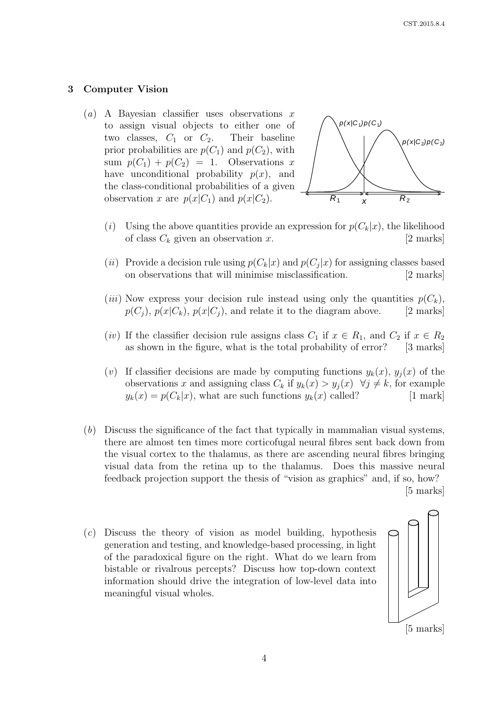#### 3 Computer Vision

(a) A Bayesian classifier uses observations  $x$ to assign visual objects to either one of two classes,  $C_1$  or  $C_2$ . Their baseline prior probabilities are  $p(C_1)$  and  $p(C_2)$ , with sum  $p(C_1) + p(C_2) = 1$ . Observations x have unconditional probability  $p(x)$ , and the class-conditional probabilities of a given observation x are  $p(x|C_1)$  and  $p(x|C_2)$ .



- (i) Using the above quantities provide an expression for  $p(C_k|x)$ , the likelihood of class  $C_k$  given an observation x. [2 marks]
- (*ii*) Provide a decision rule using  $p(C_k|x)$  and  $p(C_j|x)$  for assigning classes based on observations that will minimise misclassification. [2 marks]
- (*iii*) Now express your decision rule instead using only the quantities  $p(C_k)$ ,  $p(C_i)$ ,  $p(x|C_k)$ ,  $p(x|C_i)$ , and relate it to the diagram above. [2 marks]
- (*iv*) If the classifier decision rule assigns class  $C_1$  if  $x \in R_1$ , and  $C_2$  if  $x \in R_2$ as shown in the figure, what is the total probability of error? [3 marks]
- (v) If classifier decisions are made by computing functions  $y_k(x)$ ,  $y_j(x)$  of the observations x and assigning class  $C_k$  if  $y_k(x) > y_j(x) \quad \forall j \neq k$ , for example  $y_k(x) = p(C_k|x)$ , what are such functions  $y_k(x)$  called? [1 mark]
- (b) Discuss the significance of the fact that typically in mammalian visual systems, there are almost ten times more corticofugal neural fibres sent back down from the visual cortex to the thalamus, as there are ascending neural fibres bringing visual data from the retina up to the thalamus. Does this massive neural feedback projection support the thesis of "vision as graphics" and, if so, how? [5 marks]
- $(c)$  Discuss the theory of vision as model building, hypothesis generation and testing, and knowledge-based processing, in light of the paradoxical figure on the right. What do we learn from bistable or rivalrous percepts? Discuss how top-down context information should drive the integration of low-level data into meaningful visual wholes.

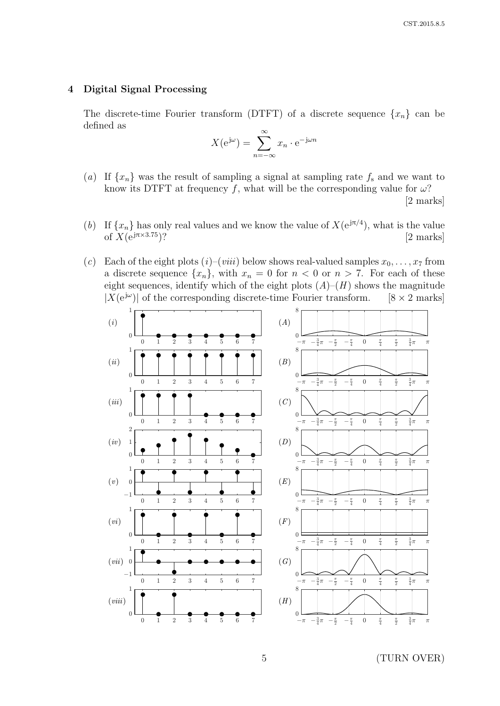## 4 Digital Signal Processing

The discrete-time Fourier transform (DTFT) of a discrete sequence  $\{x_n\}$  can be defined as

$$
X(e^{j\omega}) = \sum_{n=-\infty}^{\infty} x_n \cdot e^{-j\omega n}
$$

- (a) If  $\{x_n\}$  was the result of sampling a signal at sampling rate  $f_s$  and we want to know its DTFT at frequency f, what will be the corresponding value for  $\omega$ ? [2 marks]
- (b) If  $\{x_n\}$  has only real values and we know the value of  $X(e^{j\pi/4})$ , what is the value of  $X(e^{j\pi \times 3.75})$ ? [2 marks]
- (c) Each of the eight plots (i)–(viii) below shows real-valued samples  $x_0, \ldots, x_7$  from a discrete sequence  $\{x_n\}$ , with  $x_n = 0$  for  $n < 0$  or  $n > 7$ . For each of these eight sequences, identify which of the eight plots  $(A)$ – $(H)$  shows the magnitude  $|X(e^{j\omega})|$  of the corresponding discrete-time Fourier transform. [8  $\times$  2 marks]



5 (TURN OVER)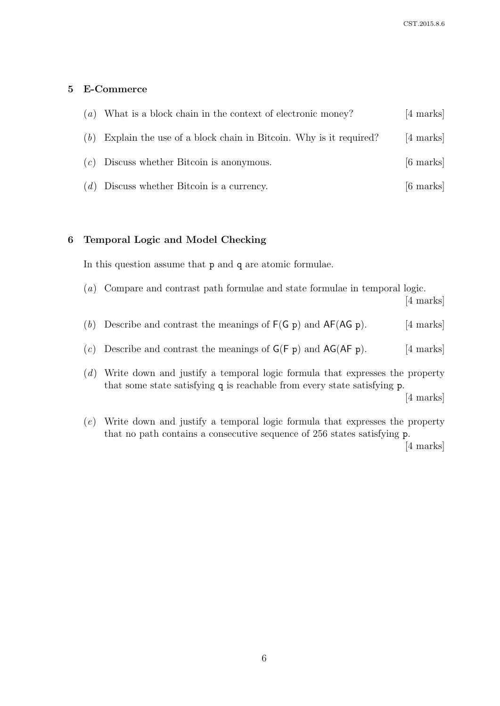## 5 E-Commerce

|     | (a) What is a block chain in the context of electronic money?    | [4 marks]           |
|-----|------------------------------------------------------------------|---------------------|
| (b) | Explain the use of a block chain in Bitcoin. Why is it required? | [4 marks]           |
|     | $(c)$ Discuss whether Bitcoin is anonymous.                      | $[6 \text{ marks}]$ |
| (d) | Discuss whether Bitcoin is a currency.                           | $[6 \text{ marks}]$ |

### 6 Temporal Logic and Model Checking

In this question assume that p and q are atomic formulae.

- (a) Compare and contrast path formulae and state formulae in temporal logic. [4 marks]
- (b) Describe and contrast the meanings of  $F(G p)$  and  $AF(AG p)$ . [4 marks]
- (c) Describe and contrast the meanings of  $G(F p)$  and  $AG(AF p)$ . [4 marks]
- (d) Write down and justify a temporal logic formula that expresses the property that some state satisfying q is reachable from every state satisfying p.

[4 marks]

(e) Write down and justify a temporal logic formula that expresses the property that no path contains a consecutive sequence of 256 states satisfying p.

[4 marks]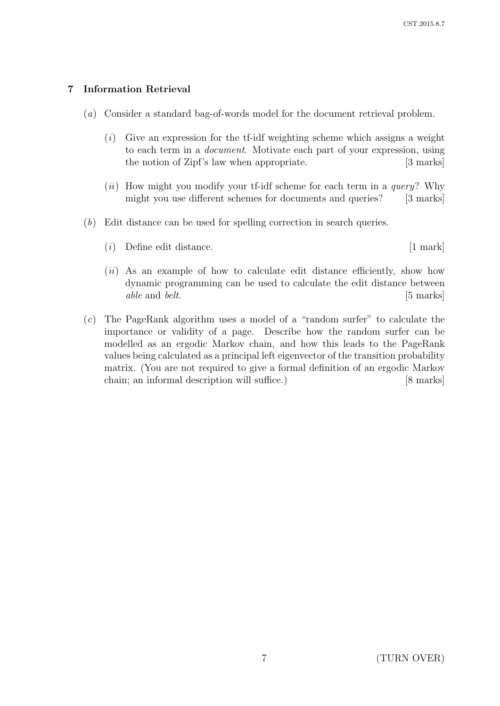# 7 Information Retrieval

- (a) Consider a standard bag-of-words model for the document retrieval problem.
	- $(i)$  Give an expression for the tf-idf weighting scheme which assigns a weight to each term in a document. Motivate each part of your expression, using the notion of Zipf's law when appropriate. [3 marks]
	- (ii) How might you modify your tf-idf scheme for each term in a *query*? Why might you use different schemes for documents and queries? [3 marks]
- (b) Edit distance can be used for spelling correction in search queries.
	- (i) Define edit distance. [1 mark]
	- (*ii*) As an example of how to calculate edit distance efficiently, show how dynamic programming can be used to calculate the edit distance between able and belt. [5 marks]
- (c) The PageRank algorithm uses a model of a "random surfer" to calculate the importance or validity of a page. Describe how the random surfer can be modelled as an ergodic Markov chain, and how this leads to the PageRank values being calculated as a principal left eigenvector of the transition probability matrix. (You are not required to give a formal definition of an ergodic Markov chain; an informal description will suffice.) [8 marks]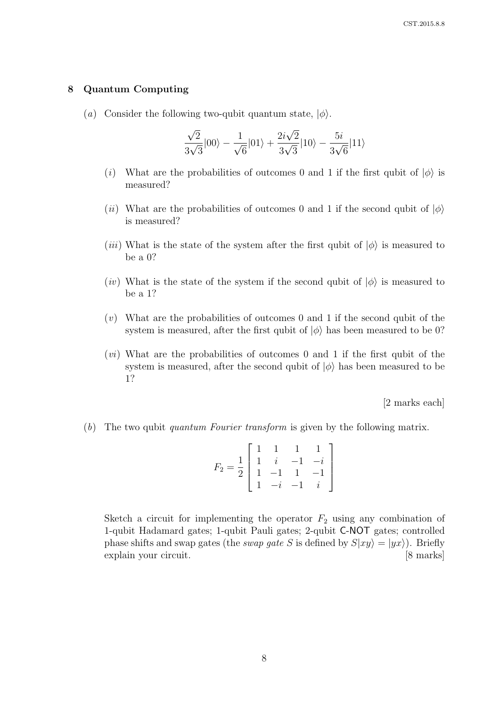#### 8 Quantum Computing

(a) Consider the following two-qubit quantum state,  $|\phi\rangle$ .

$$
\frac{\sqrt{2}}{3\sqrt{3}}|00\rangle - \frac{1}{\sqrt{6}}|01\rangle + \frac{2i\sqrt{2}}{3\sqrt{3}}|10\rangle - \frac{5i}{3\sqrt{6}}|11\rangle
$$

- (i) What are the probabilities of outcomes 0 and 1 if the first qubit of  $|\phi\rangle$  is measured?
- (ii) What are the probabilities of outcomes 0 and 1 if the second qubit of  $|\phi\rangle$ is measured?
- (*iii*) What is the state of the system after the first qubit of  $|\phi\rangle$  is measured to be a 0?
- (*iv*) What is the state of the system if the second qubit of  $|\phi\rangle$  is measured to be a 1?
- $(v)$  What are the probabilities of outcomes 0 and 1 if the second qubit of the system is measured, after the first qubit of  $|\phi\rangle$  has been measured to be 0?
- $(vi)$  What are the probabilities of outcomes 0 and 1 if the first qubit of the system is measured, after the second qubit of  $|\phi\rangle$  has been measured to be 1?

[2 marks each]

(b) The two qubit quantum Fourier transform is given by the following matrix.

$$
F_2 = \frac{1}{2} \begin{bmatrix} 1 & 1 & 1 & 1 \\ 1 & i & -1 & -i \\ 1 & -1 & 1 & -1 \\ 1 & -i & -1 & i \end{bmatrix}
$$

Sketch a circuit for implementing the operator  $F_2$  using any combination of 1-qubit Hadamard gates; 1-qubit Pauli gates; 2-qubit C-NOT gates; controlled phase shifts and swap gates (the *swap gate S* is defined by  $S|xy\rangle = |yx\rangle$ ). Briefly explain your circuit. [8 marks]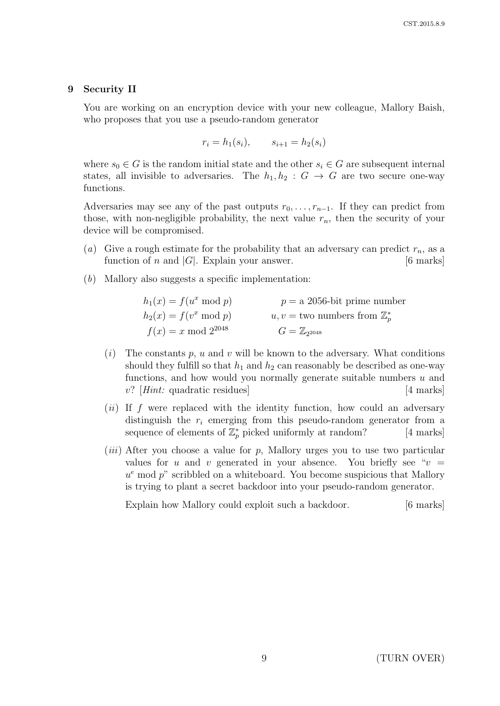#### 9 Security II

You are working on an encryption device with your new colleague, Mallory Baish, who proposes that you use a pseudo-random generator

$$
r_i = h_1(s_i), \qquad s_{i+1} = h_2(s_i)
$$

where  $s_0 \in G$  is the random initial state and the other  $s_i \in G$  are subsequent internal states, all invisible to adversaries. The  $h_1, h_2 : G \rightarrow G$  are two secure one-way functions.

Adversaries may see any of the past outputs  $r_0, \ldots, r_{n-1}$ . If they can predict from those, with non-negligible probability, the next value  $r_n$ , then the security of your device will be compromised.

- (a) Give a rough estimate for the probability that an adversary can predict  $r_n$ , as a function of n and  $|G|$ . Explain your answer. [6 marks]
- (b) Mallory also suggests a specific implementation:

| $h_1(x) = f(u^x \bmod p)$ | $p = a$ 2056-bit prime number              |
|---------------------------|--------------------------------------------|
| $h_2(x) = f(v^x \bmod p)$ | $u, v =$ two numbers from $\mathbb{Z}_n^*$ |
| $f(x) = x \mod 2^{2048}$  | $G=\mathbb{Z}_{2^{2048}}$                  |

- $(i)$  The constants p, u and v will be known to the adversary. What conditions should they fulfill so that  $h_1$  and  $h_2$  can reasonably be described as one-way functions, and how would you normally generate suitable numbers  $u$  and  $v?$  [*Hint:* quadratic residues] [4 marks]
- $(ii)$  If f were replaced with the identity function, how could an adversary distinguish the  $r_i$  emerging from this pseudo-random generator from a sequence of elements of  $\mathbb{Z}_p^*$  picked uniformly at random? [4 marks]
- (*iii*) After you choose a value for p, Mallory urges you to use two particular values for u and v generated in your absence. You briefly see " $v =$  $u^e$  mod  $p^v$  scribbled on a whiteboard. You become suspicious that Mallory is trying to plant a secret backdoor into your pseudo-random generator.

Explain how Mallory could exploit such a backdoor. [6 marks]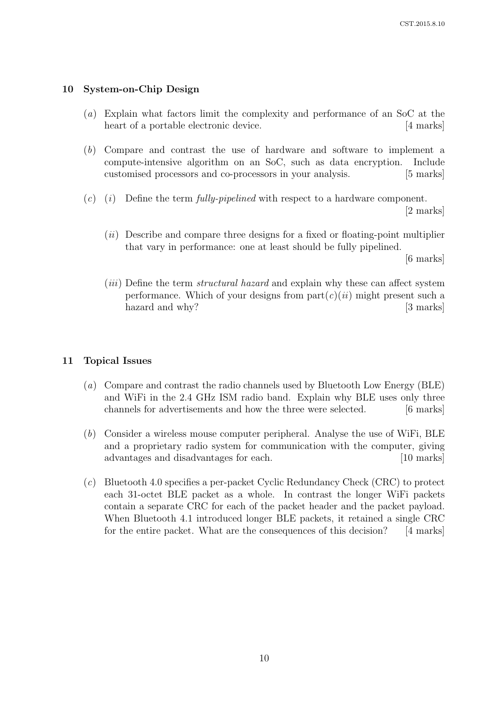# 10 System-on-Chip Design

- (a) Explain what factors limit the complexity and performance of an SoC at the heart of a portable electronic device. [4 marks]
- (b) Compare and contrast the use of hardware and software to implement a compute-intensive algorithm on an SoC, such as data encryption. Include customised processors and co-processors in your analysis. [5 marks]
- $(c)$  (i) Define the term *fully-pipelined* with respect to a hardware component.

[2 marks]

 $(ii)$  Describe and compare three designs for a fixed or floating-point multiplier that vary in performance: one at least should be fully pipelined.

[6 marks]

(*iii*) Define the term *structural hazard* and explain why these can affect system performance. Which of your designs from  $part(c)(ii)$  might present such a hazard and why? [3 marks]

# 11 Topical Issues

- (a) Compare and contrast the radio channels used by Bluetooth Low Energy (BLE) and WiFi in the 2.4 GHz ISM radio band. Explain why BLE uses only three channels for advertisements and how the three were selected. [6 marks]
- (b) Consider a wireless mouse computer peripheral. Analyse the use of WiFi, BLE and a proprietary radio system for communication with the computer, giving advantages and disadvantages for each. [10 marks]
- (c) Bluetooth 4.0 specifies a per-packet Cyclic Redundancy Check (CRC) to protect each 31-octet BLE packet as a whole. In contrast the longer WiFi packets contain a separate CRC for each of the packet header and the packet payload. When Bluetooth 4.1 introduced longer BLE packets, it retained a single CRC for the entire packet. What are the consequences of this decision? [4 marks]